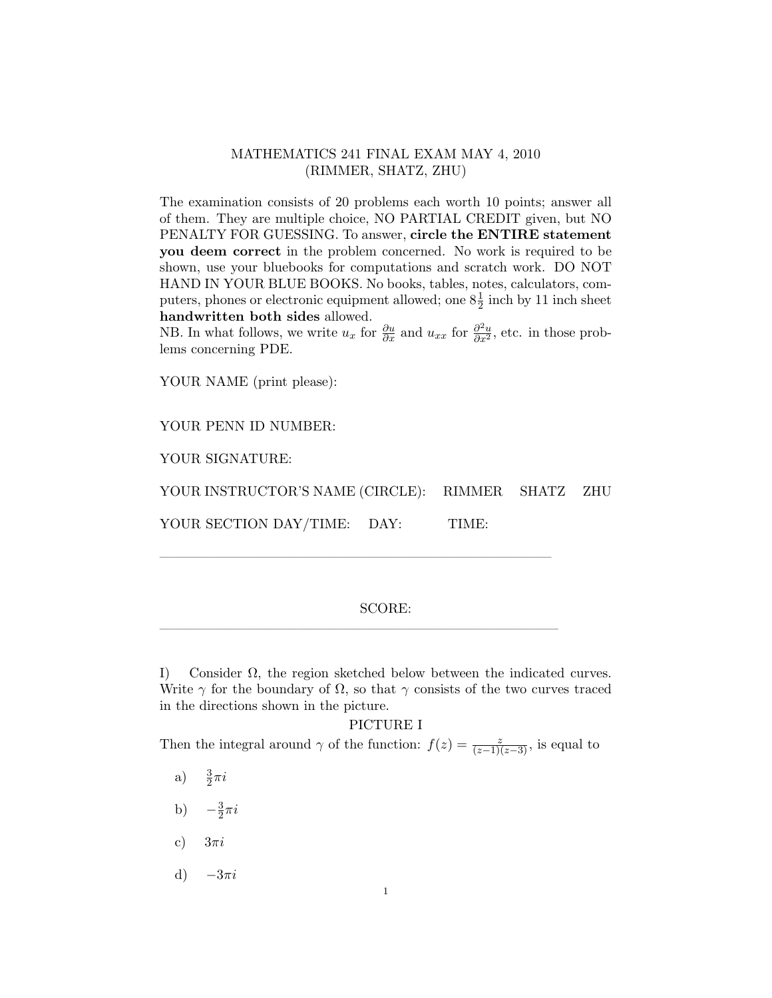# MATHEMATICS 241 FINAL EXAM MAY 4, 2010 (RIMMER, SHATZ, ZHU)

The examination consists of 20 problems each worth 10 points; answer all of them. They are multiple choice, NO PARTIAL CREDIT given, but NO PENALTY FOR GUESSING. To answer, circle the ENTIRE statement you deem correct in the problem concerned. No work is required to be shown, use your bluebooks for computations and scratch work. DO NOT HAND IN YOUR BLUE BOOKS. No books, tables, notes, calculators, computers, phones or electronic equipment allowed; one  $8\frac{1}{2}$  inch by 11 inch sheet handwritten both sides allowed.

NB. In what follows, we write  $u_x$  for  $\frac{\partial u}{\partial x}$  and  $u_{xx}$  for  $\frac{\partial^2 u}{\partial x^2}$ , etc. in those problems concerning PDE.

YOUR NAME (print please):

YOUR PENN ID NUMBER:

YOUR SIGNATURE:

YOUR INSTRUCTOR'S NAME (CIRCLE): RIMMER SHATZ ZHU

YOUR SECTION DAY/TIME: DAY: TIME:

————————————————————————————–

—————————————————————————————

## SCORE:

I) Consider  $\Omega$ , the region sketched below between the indicated curves. Write  $\gamma$  for the boundary of  $\Omega$ , so that  $\gamma$  consists of the two curves traced in the directions shown in the picture.

#### PICTURE I

Then the integral around  $\gamma$  of the function:  $f(z) = \frac{z}{(z-1)(z-3)}$ , is equal to

- a)  $\frac{3}{2}\pi i$
- b)  $-\frac{3}{2}$  $\frac{3}{2}\pi i$
- c)  $3\pi i$
- d)  $-3\pi i$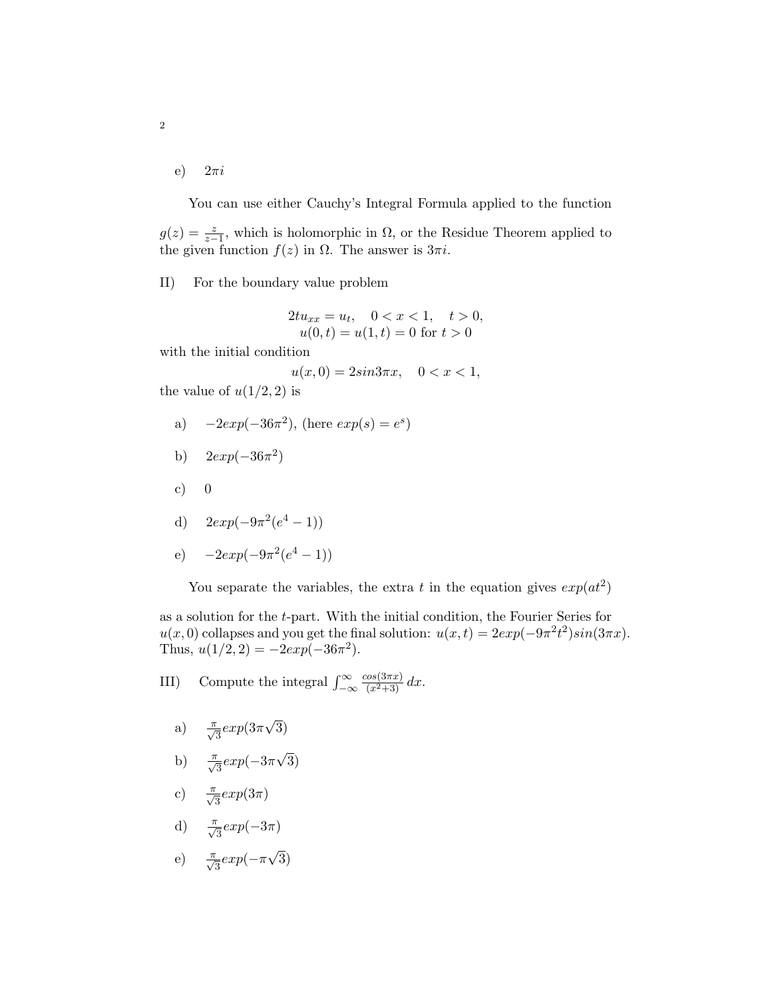e)  $2\pi i$ 

You can use either Cauchy's Integral Formula applied to the function  $g(z) = \frac{z}{z-1}$ , which is holomorphic in  $\Omega$ , or the Residue Theorem applied to the given function  $f(z)$  in  $\Omega$ . The answer is  $3\pi i$ .

### II) For the boundary value problem

$$
2tu_{xx} = u_t, \quad 0 < x < 1, \quad t > 0, \\
u(0, t) = u(1, t) = 0 \text{ for } t > 0
$$

with the initial condition

 $u(x, 0) = 2sin 3\pi x, \quad 0 < x < 1,$ 

the value of  $u(1/2, 2)$  is

a)  $-2exp(-36\pi^2)$ , (here  $exp(s) = e^s$ )

b) 
$$
2 \exp(-36\pi^2)
$$

- c)  $0$
- d)  $2exp(-9\pi^2(e^4-1))$

e) 
$$
-2exp(-9\pi^2(e^4-1))
$$

You separate the variables, the extra t in the equation gives  $exp(at^2)$ 

as a solution for the t-part. With the initial condition, the Fourier Series for  $u(x,0)$  collapses and you get the final solution:  $u(x,t) = 2exp(-9\pi^2 t^2)sin(3\pi x)$ . Thus,  $u(1/2, 2) = -2exp(-36\pi^2)$ .

III) Compute the integral  $\int_{-\infty}^{\infty}$  $\frac{\cos(3\pi x)}{(x^2+3)} dx$ .

- a)  $\frac{\pi}{\sqrt{3}} exp(3\pi)$ √ 3)
- b)  $\frac{\pi}{\sqrt{3}} exp(-3\pi)$ √ 3)
- c)  $\frac{\pi}{\sqrt{3}} exp(3\pi)$
- d)  $\frac{\pi}{\sqrt{3}} exp(-3\pi)$

$$
e) \quad \frac{\pi}{\sqrt{3}} exp(-\pi \sqrt{3})
$$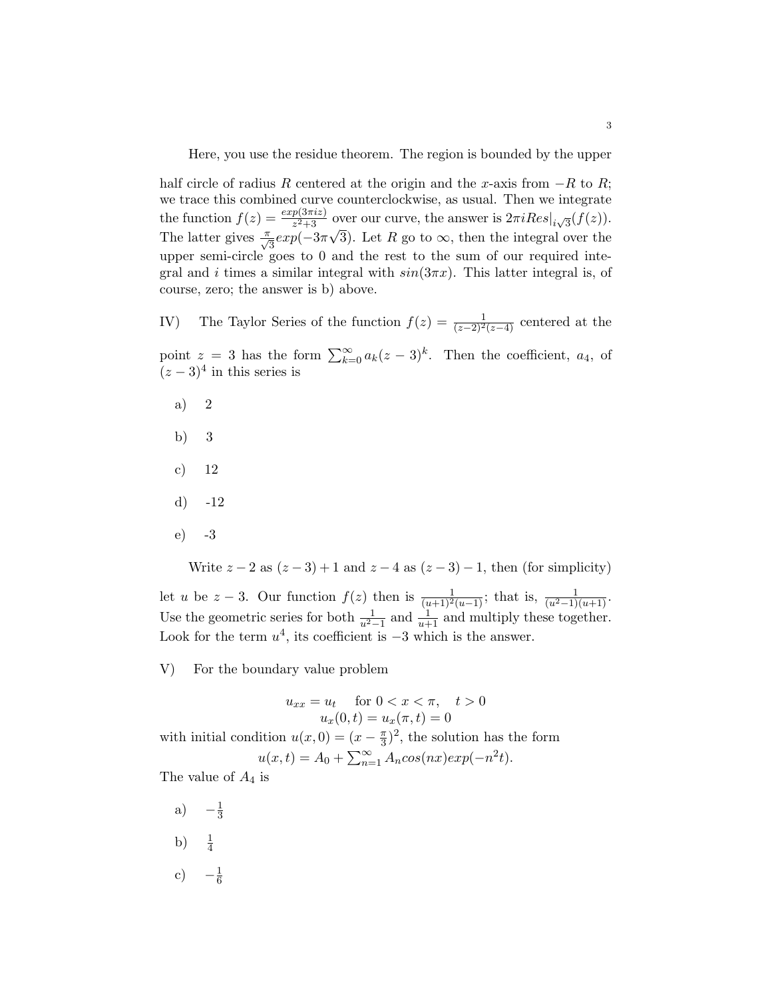Here, you use the residue theorem. The region is bounded by the upper

half circle of radius R centered at the origin and the x-axis from  $-R$  to R; we trace this combined curve counterclockwise, as usual. Then we integrate the function  $f(z) = \frac{exp(3\pi iz)}{z^2+3}$  over our curve, the answer is  $2\pi i Res|_{i\sqrt{3}}(f(z)).$ The latter gives  $\frac{\pi}{\sqrt{3}} exp(-3\pi)$ √ 3). Let R go to  $\infty$ , then the integral over the upper semi-circle goes to 0 and the rest to the sum of our required integral and i times a similar integral with  $sin(3\pi x)$ . This latter integral is, of course, zero; the answer is b) above.

IV) The Taylor Series of the function  $f(z) = \frac{1}{(z-2)^2(z-4)}$  centered at the

point  $z = 3$  has the form  $\sum_{k=0}^{\infty} a_k(z-3)^k$ . Then the coefficient,  $a_4$ , of  $(z-3)^4$  in this series is

- a) 2
- b) 3
- c) 12
- d) -12
- e) -3

Write  $z - 2$  as  $(z - 3) + 1$  and  $z - 4$  as  $(z - 3) - 1$ , then (for simplicity)

let u be  $z-3$ . Our function  $f(z)$  then is  $\frac{1}{(u+1)^2(u-1)}$ ; that is,  $\frac{1}{(u^2-1)(u+1)}$ . Use the geometric series for both  $\frac{1}{u^2-1}$  and  $\frac{1}{u+1}$  and multiply these together. Look for the term  $u^4$ , its coefficient is  $-3$  which is the answer.

V) For the boundary value problem

$$
u_{xx} = u_t \quad \text{for } 0 < x < \pi, \quad t > 0
$$
  

$$
u_x(0, t) = u_x(\pi, t) = 0
$$

with initial condition  $u(x, 0) = (x - \frac{\pi}{3})$  $(\frac{\pi}{3})^2$ , the solution has the form  $u(x,t) = A_0 + \sum_{n=1}^{\infty} A_n \cos(nx) \exp(-n^2 t).$ 

The value of  $A_4$  is

- a)  $-\frac{1}{3}$ 3
- b)  $\frac{1}{4}$
- c)  $-\frac{1}{6}$ 6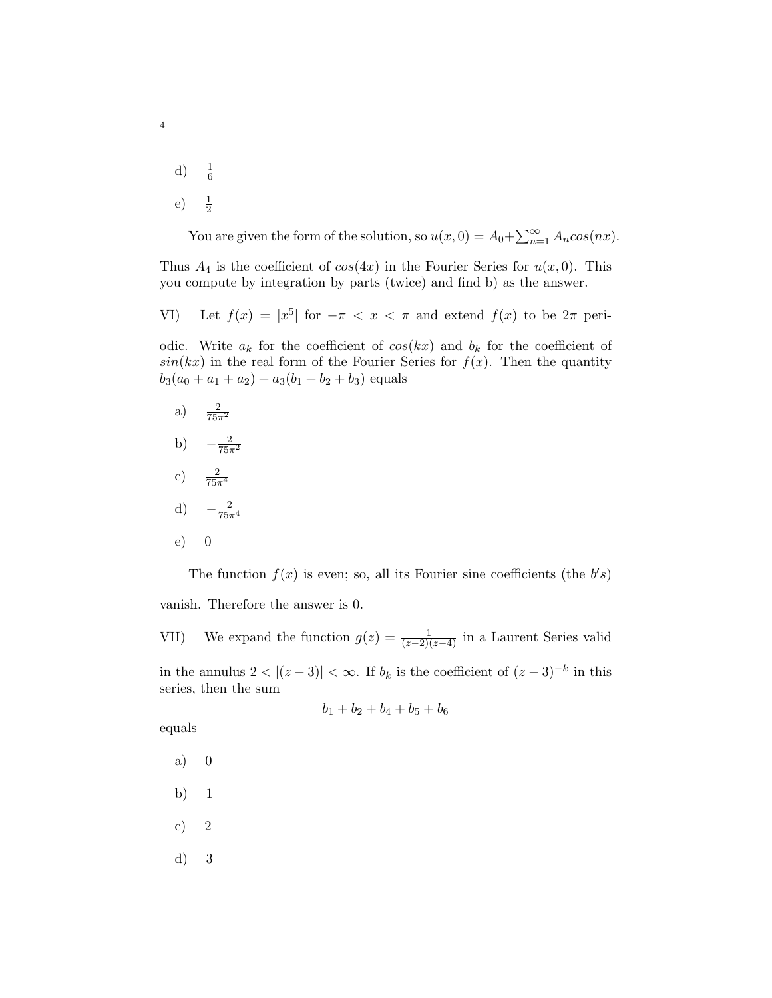d)  $\frac{1}{6}$  $\mathbf{e})$  $\frac{1}{2}$ 

4

You are given the form of the solution, so  $u(x, 0) = A_0 + \sum_{n=1}^{\infty} A_n cos(nx)$ .

Thus  $A_4$  is the coefficient of  $cos(4x)$  in the Fourier Series for  $u(x, 0)$ . This you compute by integration by parts (twice) and find b) as the answer.

VI) Let  $f(x) = |x^5|$  for  $-\pi < x < \pi$  and extend  $f(x)$  to be  $2\pi$  peri-

odic. Write  $a_k$  for the coefficient of  $cos(kx)$  and  $b_k$  for the coefficient of  $sin(kx)$  in the real form of the Fourier Series for  $f(x)$ . Then the quantity  $b_3(a_0 + a_1 + a_2) + a_3(b_1 + b_2 + b_3)$  equals

- a)  $\frac{2}{75\pi^2}$
- b)  $-\frac{2}{75\pi^2}$
- c)  $\frac{2}{75\pi^4}$

$$
d) \quad -\frac{2}{75\pi^4}
$$

e) 0

The function  $f(x)$  is even; so, all its Fourier sine coefficients (the  $b's$ )

vanish. Therefore the answer is 0.

VII) We expand the function  $g(z) = \frac{1}{(z-2)(z-4)}$  in a Laurent Series valid in the annulus  $2 < |(z-3)| < \infty$ . If  $b_k$  is the coefficient of  $(z-3)^{-k}$  in this series, then the sum

$$
b_1 + b_2 + b_4 + b_5 + b_6
$$

equals

- a) 0
- b) 1
- c) 2
- d) 3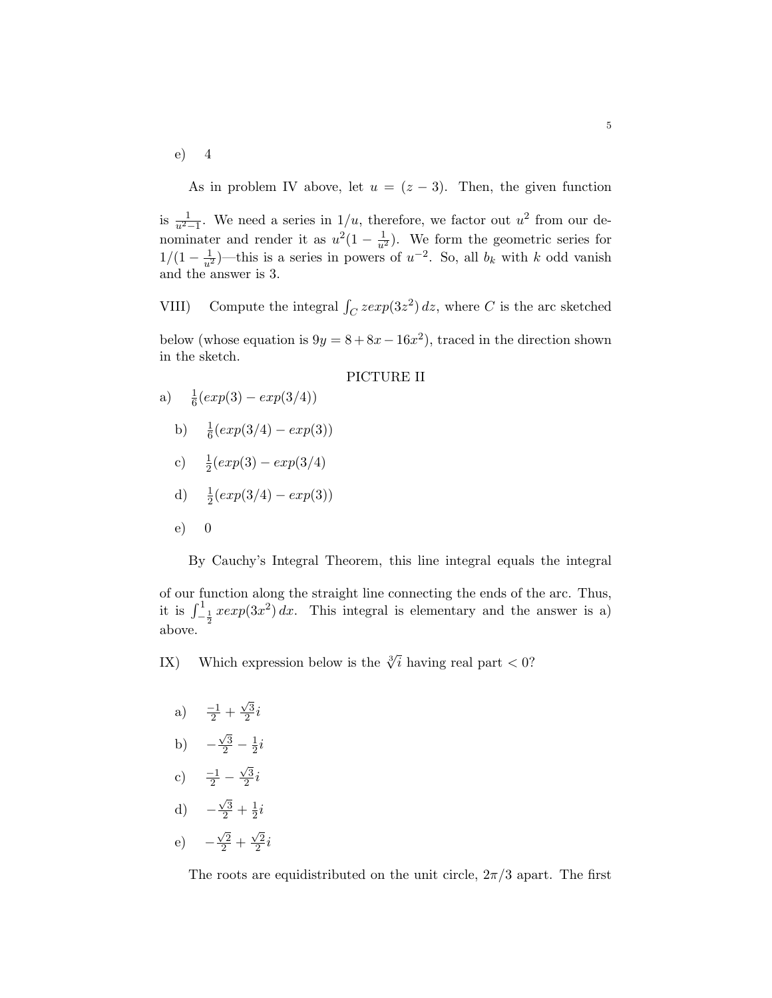e) 4

As in problem IV above, let  $u = (z - 3)$ . Then, the given function

is  $\frac{1}{u^2-1}$ . We need a series in  $1/u$ , therefore, we factor out  $u^2$  from our denominater and render it as  $u^2(1-\frac{1}{u^2})$ . We form the geometric series for 1/(1 −  $\frac{1}{u^2}$ )—this is a series in powers of  $u^{-2}$ . So, all  $b_k$  with k odd vanish and the answer is 3.

VIII) Compute the integral  $\int_C z \exp(3z^2) dz$ , where C is the arc sketched below (whose equation is  $9y = 8 + 8x - 16x^2$ ), traced in the direction shown in the sketch.

#### PICTURE II

- a)  $\frac{1}{6}(exp(3) exp(3/4))$ 
	- b)  $\frac{1}{6}(exp(3/4) exp(3))$
	- c)  $\frac{1}{2}(exp(3) exp(3/4))$

d) 
$$
\frac{1}{2}(exp(3/4) - exp(3))
$$

e) 0

By Cauchy's Integral Theorem, this line integral equals the integral

of our function along the straight line connecting the ends of the arc. Thus, it is  $\int_{-\frac{1}{2}}^{\frac{1}{2}} x \exp(3x^2) dx$ . This integral is elementary and the answer is a) above.

IX) Which expression below is the  $\sqrt[3]{i}$  having real part < 0?

- a)  $\frac{-1}{2}$  +  $\sqrt{3}$  $\frac{\sqrt{3}}{2}i$
- b) −  $\frac{\sqrt{3}}{2} - \frac{1}{2}$  $rac{1}{2}i$
- c)  $\frac{-1}{2}$   $\sqrt{3}$  $\frac{\sqrt{3}}{2}i$
- d) −  $\frac{\sqrt{3}}{2} + \frac{1}{2}$  $rac{1}{2}i$
- e) −  $\frac{\sqrt{2}}{2}$  +  $\sqrt{2}$  $\frac{\sqrt{2}}{2}i$

The roots are equidistributed on the unit circle,  $2\pi/3$  apart. The first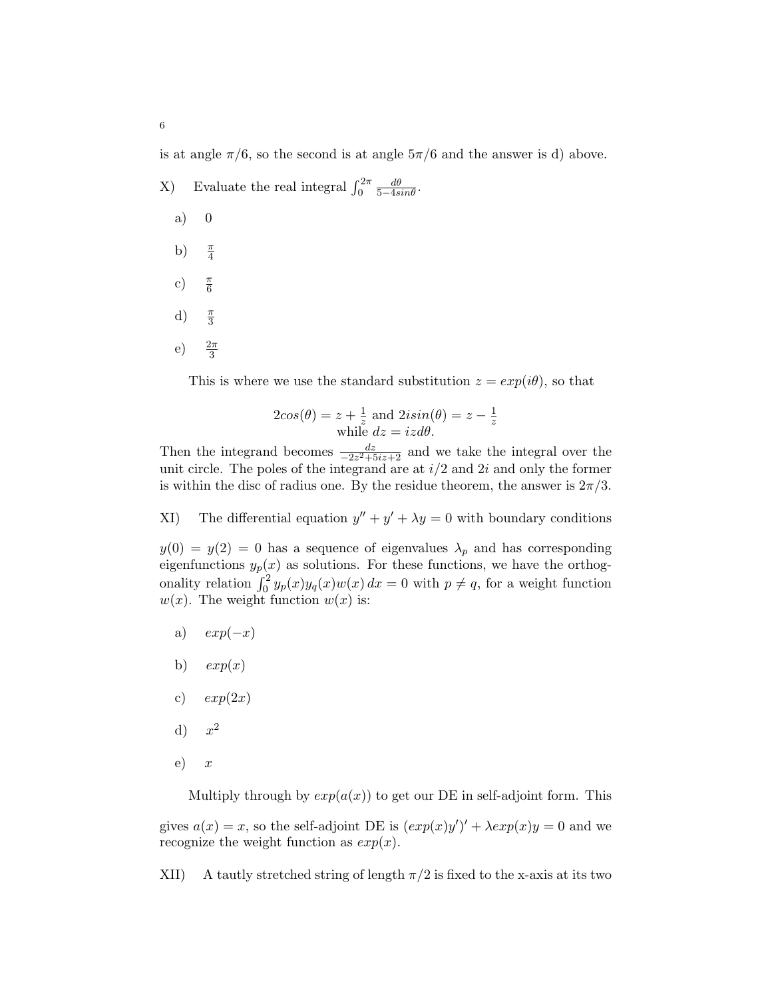is at angle  $\pi/6$ , so the second is at angle  $5\pi/6$  and the answer is d) above.

- X) Evaluate the real integral  $\int_0^{2\pi}$  $rac{d\theta}{5-4\sin\theta}$ . a) 0 b)  $\frac{\pi}{4}$ c)  $\frac{\pi}{6}$ 
	- d)  $\frac{\pi}{3}$
	- e)  $\frac{2\pi}{3}$

This is where we use the standard substitution  $z = exp(i\theta)$ , so that

$$
2cos(\theta) = z + \frac{1}{z} \text{ and } 2isin(\theta) = z - \frac{1}{z}
$$
  
while  $dz = izd\theta$ .

Then the integrand becomes  $\frac{dz}{-2z^2+5iz+2}$  and we take the integral over the unit circle. The poles of the integrand are at  $i/2$  and  $2i$  and only the former is within the disc of radius one. By the residue theorem, the answer is  $2\pi/3$ .

XI) The differential equation  $y'' + y' + \lambda y = 0$  with boundary conditions

 $y(0) = y(2) = 0$  has a sequence of eigenvalues  $\lambda_p$  and has corresponding eigenfunctions  $y_p(x)$  as solutions. For these functions, we have the orthogonality relation  $\int_0^2 y_p(x)y_q(x)w(x) dx = 0$  with  $p \neq q$ , for a weight function  $w(x)$ . The weight function  $w(x)$  is:

- a)  $exp(-x)$
- b)  $exp(x)$
- c)  $exp(2x)$
- $\mathrm{d}$ )  $x^2$
- $e)$  x

Multiply through by  $exp(a(x))$  to get our DE in self-adjoint form. This

gives  $a(x) = x$ , so the self-adjoint DE is  $(exp(x)y')' + \lambda exp(x)y = 0$  and we recognize the weight function as  $exp(x)$ .

XII) A tautly stretched string of length  $\pi/2$  is fixed to the x-axis at its two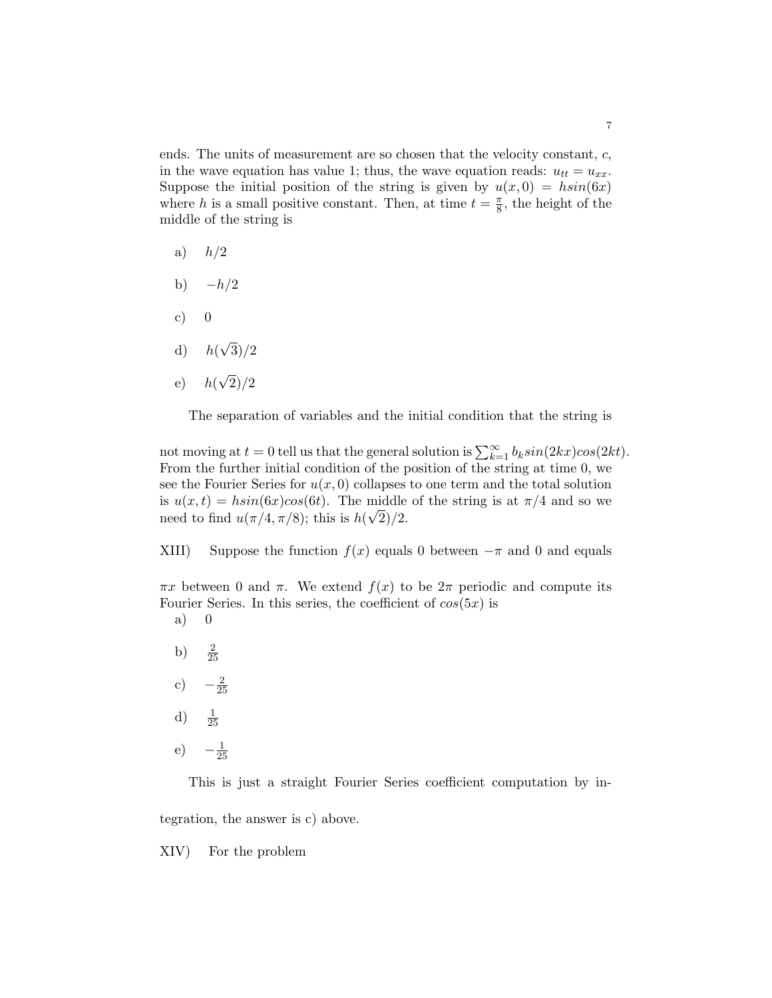ends. The units of measurement are so chosen that the velocity constant, c, in the wave equation has value 1; thus, the wave equation reads:  $u_{tt} = u_{xx}$ . Suppose the initial position of the string is given by  $u(x, 0) = h\sin(6x)$ where h is a small positive constant. Then, at time  $t = \frac{\pi}{8}$  $\frac{\pi}{8}$ , the height of the middle of the string is

- a)  $h/2$
- b)  $-h/2$
- c)  $0$
- d)  $h($ √  $3)/2$
- e)  $h($ √ 2)/2

The separation of variables and the initial condition that the string is

not moving at  $t = 0$  tell us that the general solution is  $\sum_{k=1}^{\infty} b_k sin(2kx) cos(2kt)$ . From the further initial condition of the position of the string at time 0, we see the Fourier Series for  $u(x, 0)$  collapses to one term and the total solution is  $u(x,t) = h\sin(6x)\cos(6t)$ . The middle of the string is at  $\pi/4$  and so we need to find  $u(\pi/4, \pi/8)$ ; this is  $h(\sqrt{2})/2$ .

XIII) Suppose the function  $f(x)$  equals 0 between  $-\pi$  and 0 and equals

 $\pi x$  between 0 and  $\pi$ . We extend  $f(x)$  to be  $2\pi$  periodic and compute its Fourier Series. In this series, the coefficient of  $cos(5x)$  is

- a) 0
- b)  $\frac{2}{25}$
- c)  $-\frac{2}{2}$ 25
- $\mathrm{d}$ )  $\frac{1}{25}$
- e)  $-\frac{1}{2}$ 25

This is just a straight Fourier Series coefficient computation by in-

tegration, the answer is c) above.

XIV) For the problem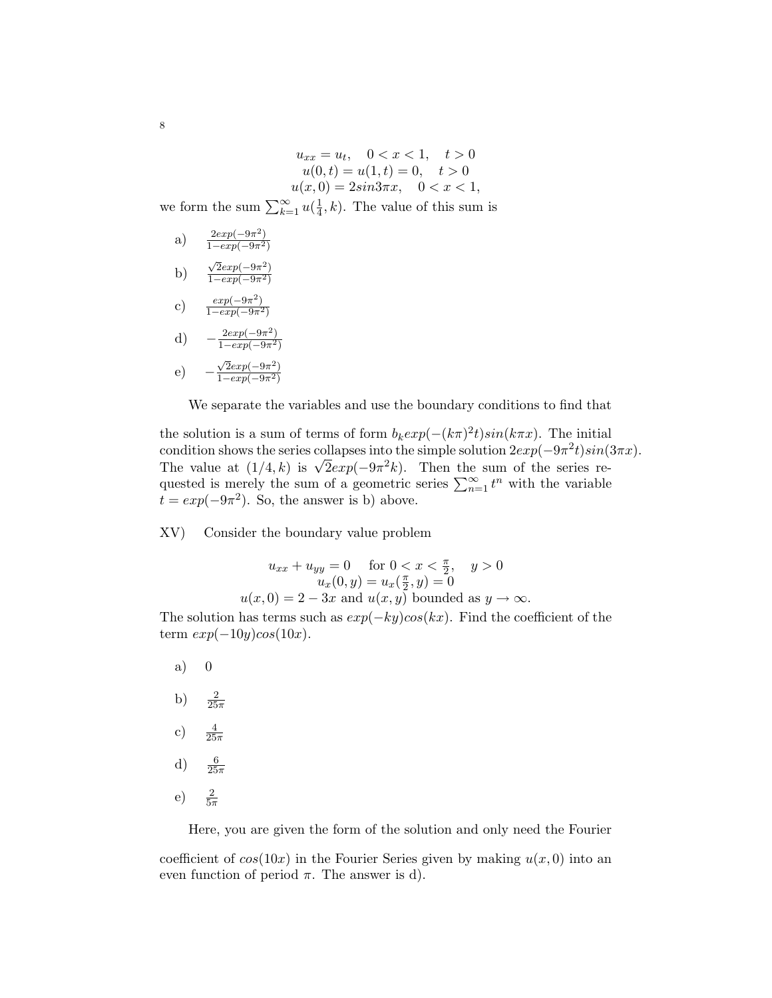$u_{xx} = u_t, \quad 0 < x < 1, \quad t > 0$  $u(0, t) = u(1, t) = 0, \quad t > 0$  $u(x, 0) = 2\sin 3\pi x, \quad 0 < x < 1,$ 

we form the sum  $\sum_{k=1}^{\infty} u(\frac{1}{4})$  $\frac{1}{4}$ , k). The value of this sum is

- a)  $\frac{2exp(-9\pi^2)}{1-exp(-9\pi^2)}$  $\overline{1 - exp(-9\pi^2)}$
- b)  $\sqrt{2}exp(-9\pi^2)$  $\overline{1-exp(-9\pi^2)}$
- c)  $\frac{exp(-9\pi^2)}{1 exp(-9\pi^2)}$  $\overline{1-exp(-9\pi^2)}$
- d)  $-\frac{2exp(-9\pi^2)}{1-exp(-9\pi^2)}$  $\overline{1-exp(-9\pi^2)}$
- e) −  $\sqrt{2}exp(-9\pi^2)$  $1-exp(-9\pi^2)$

We separate the variables and use the boundary conditions to find that

the solution is a sum of terms of form  $b_k exp(-(k\pi)^2 t) sin(k\pi x)$ . The initial condition shows the series collapses into the simple solution  $2exp(-9\pi^2 t)sin(3\pi x)$ . condition shows the series conapses into the simple solution  $2exp(-9\pi t)sin(\theta)$ .<br>The value at  $(1/4, k)$  is  $\sqrt{2}exp(-9\pi^2k)$ . Then the sum of the series requested is merely the sum of a geometric series  $\sum_{n=1}^{\infty} t^n$  with the variable  $t = exp(-9\pi^2)$ . So, the answer is b) above.

XV) Consider the boundary value problem

$$
u_{xx} + u_{yy} = 0 \quad \text{for } 0 < x < \frac{\pi}{2}, \quad y > 0
$$
\n
$$
u_x(0, y) = u_x(\frac{\pi}{2}, y) = 0
$$
\n
$$
u(x, 0) = 2 - 3x \text{ and } u(x, y) \text{ bounded as } y \to \infty.
$$

The solution has terms such as  $exp(-ky)cos(kx)$ . Find the coefficient of the term  $exp(-10y)cos(10x)$ .

- a) 0 b)  $\frac{2}{25\pi}$ c)  $\frac{4}{25\pi}$ d)  $\frac{6}{25\pi}$
- e)  $\frac{2}{5\pi}$

Here, you are given the form of the solution and only need the Fourier

coefficient of  $cos(10x)$  in the Fourier Series given by making  $u(x, 0)$  into an even function of period  $\pi$ . The answer is d).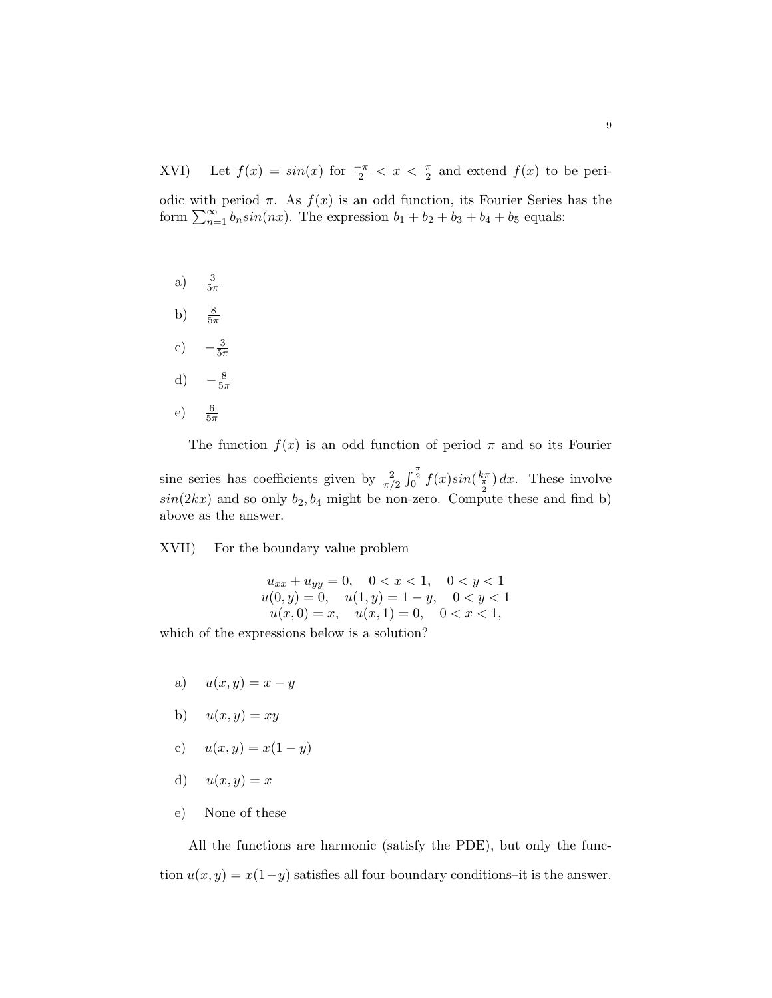XVI) Let  $f(x) = \sin(x)$  for  $\frac{-\pi}{2} < x < \frac{\pi}{2}$  and extend  $f(x)$  to be peri-

odic with period  $\pi$ . As  $f(x)$  is an odd function, its Fourier Series has the form  $\sum_{n=1}^{\infty} b_n \sin(nx)$ . The expression  $b_1 + b_2 + b_3 + b_4 + b_5$  equals:

 $a)$  $rac{3}{5\pi}$ b)  $\frac{8}{5\pi}$ 

- c)  $-\frac{3}{5}$  $5\pi$
- d)  $-\frac{8}{53}$  $5\pi$
- e)  $\frac{6}{5\pi}$

The function  $f(x)$  is an odd function of period  $\pi$  and so its Fourier

sine series has coefficients given by  $\frac{2}{\pi/2} \int_0^{\frac{\pi}{2}} f(x) \sin(\frac{k\pi}{\frac{\pi}{2}}) dx$ . These involve  $sin(2kx)$  and so only  $b_2, b_4$  might be non-zero. Compute these and find b) above as the answer.

XVII) For the boundary value problem

$$
u_{xx} + u_{yy} = 0, \quad 0 < x < 1, \quad 0 < y < 1
$$
\n
$$
u(0, y) = 0, \quad u(1, y) = 1 - y, \quad 0 < y < 1
$$
\n
$$
u(x, 0) = x, \quad u(x, 1) = 0, \quad 0 < x < 1,
$$

which of the expressions below is a solution?

- a)  $u(x, y) = x y$
- b)  $u(x, y) = xy$
- c)  $u(x, y) = x(1 y)$
- d)  $u(x, y) = x$
- e) None of these

All the functions are harmonic (satisfy the PDE), but only the function  $u(x, y) = x(1-y)$  satisfies all four boundary conditions–it is the answer.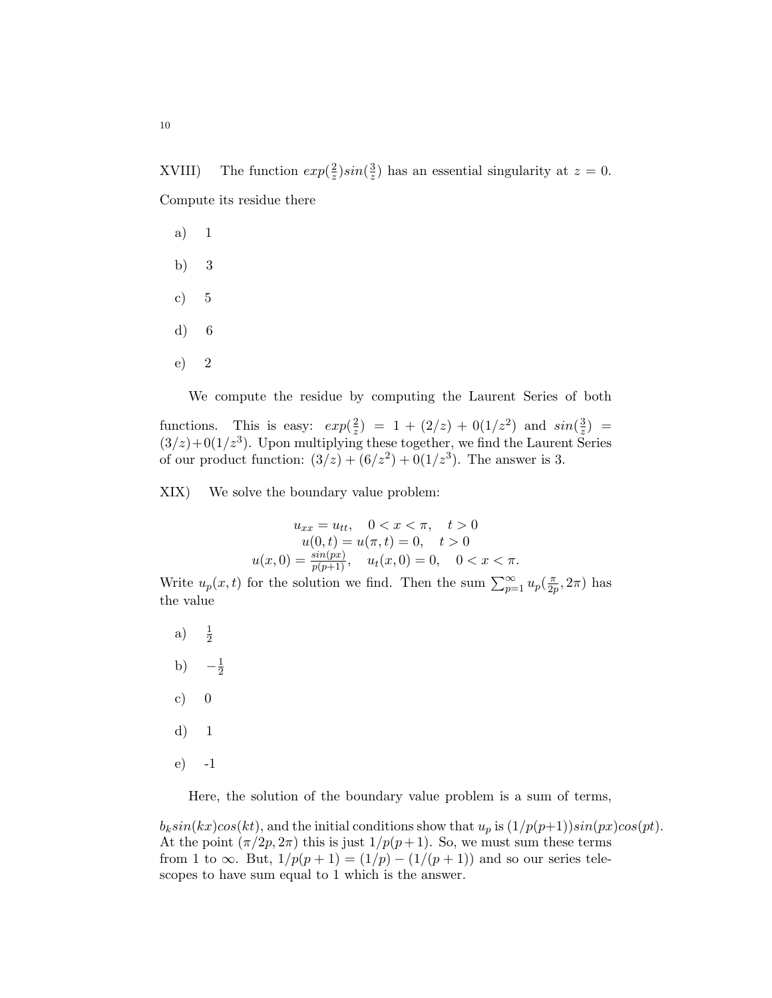XVIII) The function  $exp(\frac{2}{\pi})$  $\frac{2}{z}) sin(\frac{3}{z}$  $\frac{3}{z}$ ) has an essential singularity at  $z = 0$ . Compute its residue there

- a) 1
- b) 3
- c) 5
- d) 6
- e) 2

We compute the residue by computing the Laurent Series of both

functions. This is easy:  $exp(\frac{2}{\pi})$  $\frac{2}{z}$ ) = 1 + (2/z) + 0(1/z<sup>2</sup>) and  $sin(\frac{3}{z})$  $\frac{3}{z}$ ) =  $(3/z)+0(1/z<sup>3</sup>)$ . Upon multiplying these together, we find the Laurent Series of our product function:  $(3/z) + (6/z^2) + 0(1/z^3)$ . The answer is 3.

XIX) We solve the boundary value problem:

$$
u_{xx} = u_{tt}, \quad 0 < x < \pi, \quad t > 0
$$
\n
$$
u(0, t) = u(\pi, t) = 0, \quad t > 0
$$
\n
$$
u(x, 0) = \frac{\sin(px)}{p(p+1)}, \quad u_t(x, 0) = 0, \quad 0 < x < \pi.
$$

Write  $u_p(x,t)$  for the solution we find. Then the sum  $\sum_{p=1}^{\infty} u_p(\frac{\pi}{2p})$  $\frac{\pi}{2p}, 2\pi)$  has the value

a)  $\frac{1}{2}$ b)  $-\frac{1}{2}$  $\overline{2}$ c)  $0$ d) 1 e) -1

Here, the solution of the boundary value problem is a sum of terms,

 $b_k sin(kx)cos(kt)$ , and the initial conditions show that  $u_p$  is  $\left(\frac{1}{p(p+1)}\right)sin(px)cos(pt)$ . At the point  $(\pi/2p, 2\pi)$  this is just  $1/p(p+1)$ . So, we must sum these terms from 1 to  $\infty$ . But,  $1/p(p+1) = (1/p) - (1/(p+1))$  and so our series telescopes to have sum equal to 1 which is the answer.